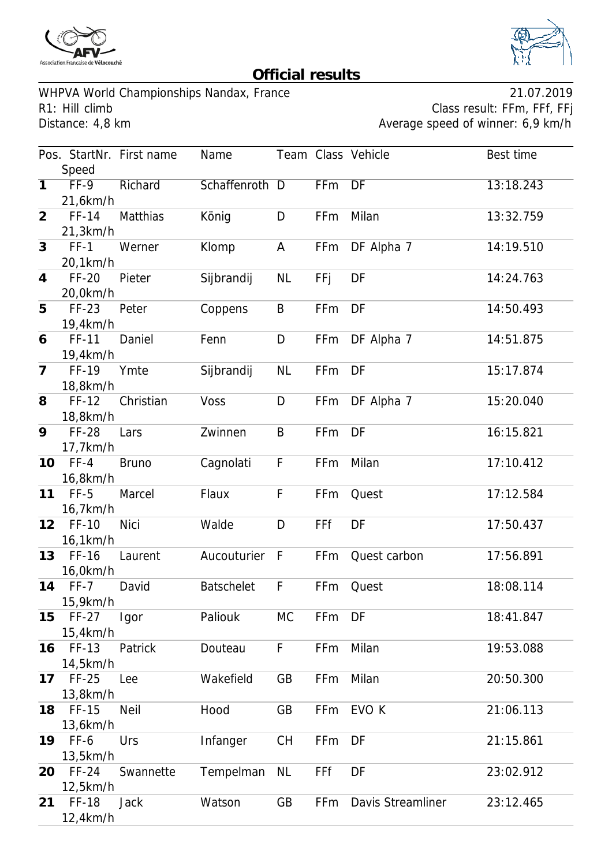



## **Official results**

WHPVA World Championships Nandax, France 21.07.2019 R1: Hill climb Class result: FFm, FFf, FFj<br>Distance: 4,8 km Class result: FFm, FFf, FFj

Average speed of winner: 6,9 km/h

|                |              | Pos. StartNr. First name | Name              |           |            | Team Class Vehicle | Best time |
|----------------|--------------|--------------------------|-------------------|-----------|------------|--------------------|-----------|
|                | Speed        |                          |                   |           |            |                    |           |
| $\overline{1}$ | $FF-9$       | Richard                  | Schaffenroth D    |           | <b>FFm</b> | DF                 | 13:18.243 |
|                | 21,6km/h     |                          |                   |           |            |                    |           |
| $\overline{2}$ | FF-14        | Matthias                 | König             | D         | FFm        | Milan              | 13:32.759 |
|                | 21,3km/h     |                          |                   |           |            |                    |           |
| 3              | $FF-1$       | Werner                   | Klomp             | A         | FFm        | DF Alpha 7         | 14:19.510 |
|                | 20,1km/h     |                          |                   |           |            |                    |           |
| $\overline{4}$ | <b>FF-20</b> | Pieter                   | Sijbrandij        | <b>NL</b> | FFj        | DF                 | 14:24.763 |
|                | 20,0km/h     |                          |                   |           |            |                    |           |
| 5              | FF-23        | Peter                    | Coppens           | B         | FFm        | DF                 | 14:50.493 |
|                | 19,4km/h     |                          |                   |           |            |                    |           |
| 6              | FF-11        | Daniel                   | Fenn              | D         | FFm        | DF Alpha 7         | 14:51.875 |
|                | 19,4km/h     |                          |                   |           |            |                    |           |
| $\overline{7}$ | FF-19        | Ymte                     | Sijbrandij        | <b>NL</b> | FFm        | DF                 | 15:17.874 |
|                | 18,8km/h     |                          |                   |           |            |                    |           |
| 8              | FF-12        | Christian                | Voss              | D         | FFm        | DF Alpha 7         | 15:20.040 |
|                | 18,8km/h     |                          |                   |           |            |                    |           |
| 9              | <b>FF-28</b> | Lars                     | Zwinnen           | B         | FFm        | DF                 | 16:15.821 |
|                | 17,7km/h     |                          |                   |           |            |                    |           |
| 10             | $FF-4$       | <b>Bruno</b>             | Cagnolati         | F         | FFm        | Milan              | 17:10.412 |
|                | 16,8km/h     |                          |                   |           |            |                    |           |
| 11             | $FF-5$       | Marcel                   | Flaux             | F         | FFm        | Quest              | 17:12.584 |
|                | 16,7km/h     |                          |                   |           |            |                    |           |
| 12             | FF-10        | <b>Nici</b>              | Walde             | D         | FFf        | DF                 | 17:50.437 |
|                | 16,1km/h     |                          |                   |           |            |                    |           |
| 13             | FF-16        | Laurent                  | Aucouturier       | F         | FFm        | Quest carbon       | 17:56.891 |
|                | 16,0km/h     |                          |                   |           |            |                    |           |
| 14             | $FF-7$       | David                    | <b>Batschelet</b> | F         | FFm        | Quest              | 18:08.114 |
|                | 15,9km/h     |                          |                   |           |            |                    |           |
| 15             | $FF-27$      | Igor                     | Paliouk           | <b>MC</b> | FFm        | DF                 | 18:41.847 |
|                | 15,4km/h     |                          |                   |           |            |                    |           |
| 16             | FF-13        | Patrick                  | Douteau           | F         | FFm        | Milan              | 19:53.088 |
|                | 14,5km/h     |                          |                   |           |            |                    |           |
| 17             | $FF-25$      | Lee                      | Wakefield         | GB        | FFm        | Milan              | 20:50.300 |
|                | 13,8km/h     |                          |                   |           |            |                    |           |
| 18             | FF-15        | <b>Neil</b>              | Hood              | GB        | FFm        | EVO K              | 21:06.113 |
|                | 13,6km/h     |                          |                   |           |            |                    |           |
| 19             | FF-6         | Urs                      | Infanger          | <b>CH</b> | FFm        | DF                 | 21:15.861 |
|                | 13,5km/h     |                          |                   |           |            |                    |           |
| 20             | $FF-24$      | Swannette                | Tempelman         | <b>NL</b> | FFf        | DF                 | 23:02.912 |
|                | 12,5km/h     |                          |                   |           |            |                    |           |
| 21             | <b>FF-18</b> | <b>Jack</b>              | Watson            | GB        | FFm        | Davis Streamliner  | 23:12.465 |
|                | 12,4km/h     |                          |                   |           |            |                    |           |